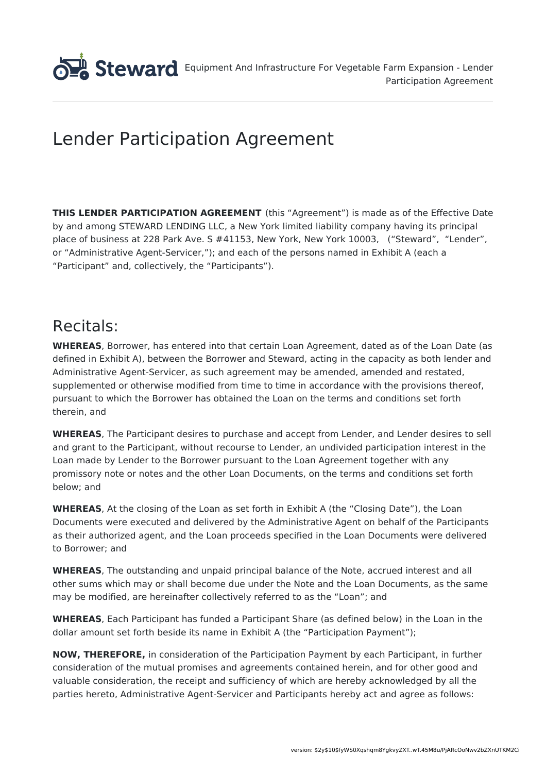

# Lender Participation Agreement

**THIS LENDER PARTICIPATION AGREEMENT** (this "Agreement") is made as of the Effective Date by and among STEWARD LENDING LLC, a New York limited liability company having its principal place of business at 228 Park Ave. S #41153, New York, New York 10003, ("Steward", "Lender", or "Administrative Agent-Servicer,"); and each of the persons named in Exhibit A (each a "Participant" and, collectively, the "Participants").

# Recitals:

**WHEREAS**, Borrower, has entered into that certain Loan Agreement, dated as of the Loan Date (as defined in Exhibit A), between the Borrower and Steward, acting in the capacity as both lender and Administrative Agent-Servicer, as such agreement may be amended, amended and restated, supplemented or otherwise modified from time to time in accordance with the provisions thereof, pursuant to which the Borrower has obtained the Loan on the terms and conditions set forth therein, and

**WHEREAS**, The Participant desires to purchase and accept from Lender, and Lender desires to sell and grant to the Participant, without recourse to Lender, an undivided participation interest in the Loan made by Lender to the Borrower pursuant to the Loan Agreement together with any promissory note or notes and the other Loan Documents, on the terms and conditions set forth below; and

**WHEREAS**, At the closing of the Loan as set forth in Exhibit A (the "Closing Date"), the Loan Documents were executed and delivered by the Administrative Agent on behalf of the Participants as their authorized agent, and the Loan proceeds specified in the Loan Documents were delivered to Borrower; and

**WHEREAS**, The outstanding and unpaid principal balance of the Note, accrued interest and all other sums which may or shall become due under the Note and the Loan Documents, as the same may be modified, are hereinafter collectively referred to as the "Loan"; and

**WHEREAS**, Each Participant has funded a Participant Share (as defined below) in the Loan in the dollar amount set forth beside its name in Exhibit A (the "Participation Payment");

**NOW, THEREFORE,** in consideration of the Participation Payment by each Participant, in further consideration of the mutual promises and agreements contained herein, and for other good and valuable consideration, the receipt and sufficiency of which are hereby acknowledged by all the parties hereto, Administrative Agent-Servicer and Participants hereby act and agree as follows: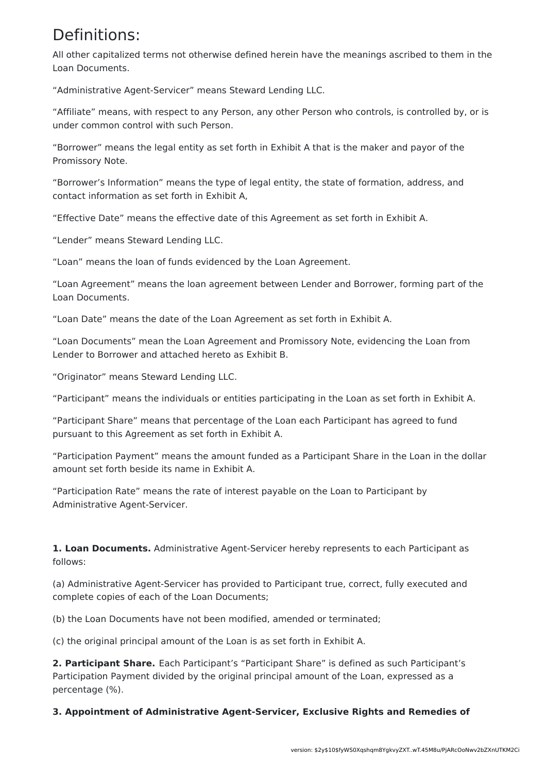# Definitions:

All other capitalized terms not otherwise defined herein have the meanings ascribed to them in the Loan Documents.

"Administrative Agent-Servicer" means Steward Lending LLC.

"Affiliate" means, with respect to any Person, any other Person who controls, is controlled by, or is under common control with such Person.

"Borrower" means the legal entity as set forth in Exhibit A that is the maker and payor of the Promissory Note.

"Borrower's Information" means the type of legal entity, the state of formation, address, and contact information as set forth in Exhibit A,

"Effective Date" means the effective date of this Agreement as set forth in Exhibit A.

"Lender" means Steward Lending LLC.

"Loan" means the loan of funds evidenced by the Loan Agreement.

"Loan Agreement" means the loan agreement between Lender and Borrower, forming part of the Loan Documents.

"Loan Date" means the date of the Loan Agreement as set forth in Exhibit A.

"Loan Documents" mean the Loan Agreement and Promissory Note, evidencing the Loan from Lender to Borrower and attached hereto as Exhibit B.

"Originator" means Steward Lending LLC.

"Participant" means the individuals or entities participating in the Loan as set forth in Exhibit A.

"Participant Share" means that percentage of the Loan each Participant has agreed to fund pursuant to this Agreement as set forth in Exhibit A.

"Participation Payment" means the amount funded as a Participant Share in the Loan in the dollar amount set forth beside its name in Exhibit A.

"Participation Rate" means the rate of interest payable on the Loan to Participant by Administrative Agent-Servicer.

**1. Loan Documents.** Administrative Agent-Servicer hereby represents to each Participant as follows:

(a) Administrative Agent-Servicer has provided to Participant true, correct, fully executed and complete copies of each of the Loan Documents;

(b) the Loan Documents have not been modified, amended or terminated;

(c) the original principal amount of the Loan is as set forth in Exhibit A.

**2. Participant Share.** Each Participant's "Participant Share" is defined as such Participant's Participation Payment divided by the original principal amount of the Loan, expressed as a percentage (%).

**3. Appointment of Administrative Agent-Servicer, Exclusive Rights and Remedies of**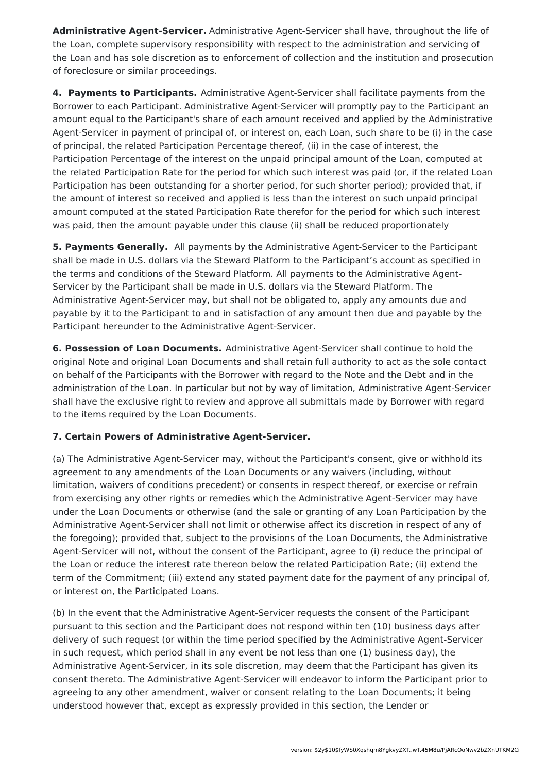**Administrative Agent-Servicer.** Administrative Agent-Servicer shall have, throughout the life of the Loan, complete supervisory responsibility with respect to the administration and servicing of the Loan and has sole discretion as to enforcement of collection and the institution and prosecution of foreclosure or similar proceedings.

**4. Payments to Participants.** Administrative Agent-Servicer shall facilitate payments from the Borrower to each Participant. Administrative Agent-Servicer will promptly pay to the Participant an amount equal to the Participant's share of each amount received and applied by the Administrative Agent-Servicer in payment of principal of, or interest on, each Loan, such share to be (i) in the case of principal, the related Participation Percentage thereof, (ii) in the case of interest, the Participation Percentage of the interest on the unpaid principal amount of the Loan, computed at the related Participation Rate for the period for which such interest was paid (or, if the related Loan Participation has been outstanding for a shorter period, for such shorter period); provided that, if the amount of interest so received and applied is less than the interest on such unpaid principal amount computed at the stated Participation Rate therefor for the period for which such interest was paid, then the amount payable under this clause (ii) shall be reduced proportionately

**5. Payments Generally.** All payments by the Administrative Agent-Servicer to the Participant shall be made in U.S. dollars via the Steward Platform to the Participant's account as specified in the terms and conditions of the Steward Platform. All payments to the Administrative Agent-Servicer by the Participant shall be made in U.S. dollars via the Steward Platform. The Administrative Agent-Servicer may, but shall not be obligated to, apply any amounts due and payable by it to the Participant to and in satisfaction of any amount then due and payable by the Participant hereunder to the Administrative Agent-Servicer.

**6. Possession of Loan Documents.** Administrative Agent-Servicer shall continue to hold the original Note and original Loan Documents and shall retain full authority to act as the sole contact on behalf of the Participants with the Borrower with regard to the Note and the Debt and in the administration of the Loan. In particular but not by way of limitation, Administrative Agent-Servicer shall have the exclusive right to review and approve all submittals made by Borrower with regard to the items required by the Loan Documents.

### **7. Certain Powers of Administrative Agent-Servicer.**

(a) The Administrative Agent-Servicer may, without the Participant's consent, give or withhold its agreement to any amendments of the Loan Documents or any waivers (including, without limitation, waivers of conditions precedent) or consents in respect thereof, or exercise or refrain from exercising any other rights or remedies which the Administrative Agent-Servicer may have under the Loan Documents or otherwise (and the sale or granting of any Loan Participation by the Administrative Agent-Servicer shall not limit or otherwise affect its discretion in respect of any of the foregoing); provided that, subject to the provisions of the Loan Documents, the Administrative Agent-Servicer will not, without the consent of the Participant, agree to (i) reduce the principal of the Loan or reduce the interest rate thereon below the related Participation Rate; (ii) extend the term of the Commitment; (iii) extend any stated payment date for the payment of any principal of, or interest on, the Participated Loans.

(b) In the event that the Administrative Agent-Servicer requests the consent of the Participant pursuant to this section and the Participant does not respond within ten (10) business days after delivery of such request (or within the time period specified by the Administrative Agent-Servicer in such request, which period shall in any event be not less than one (1) business day), the Administrative Agent-Servicer, in its sole discretion, may deem that the Participant has given its consent thereto. The Administrative Agent-Servicer will endeavor to inform the Participant prior to agreeing to any other amendment, waiver or consent relating to the Loan Documents; it being understood however that, except as expressly provided in this section, the Lender or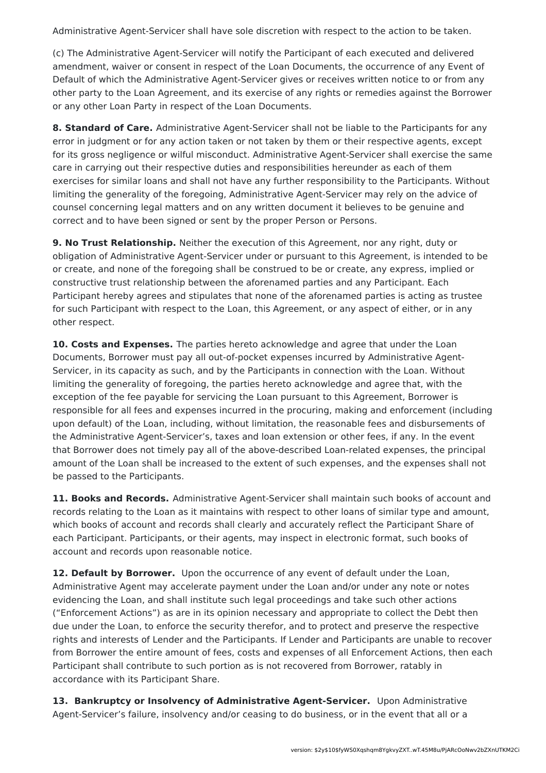Administrative Agent-Servicer shall have sole discretion with respect to the action to be taken.

(c) The Administrative Agent-Servicer will notify the Participant of each executed and delivered amendment, waiver or consent in respect of the Loan Documents, the occurrence of any Event of Default of which the Administrative Agent-Servicer gives or receives written notice to or from any other party to the Loan Agreement, and its exercise of any rights or remedies against the Borrower or any other Loan Party in respect of the Loan Documents.

**8. Standard of Care.** Administrative Agent-Servicer shall not be liable to the Participants for any error in judgment or for any action taken or not taken by them or their respective agents, except for its gross negligence or wilful misconduct. Administrative Agent-Servicer shall exercise the same care in carrying out their respective duties and responsibilities hereunder as each of them exercises for similar loans and shall not have any further responsibility to the Participants. Without limiting the generality of the foregoing, Administrative Agent-Servicer may rely on the advice of counsel concerning legal matters and on any written document it believes to be genuine and correct and to have been signed or sent by the proper Person or Persons.

**9. No Trust Relationship.** Neither the execution of this Agreement, nor any right, duty or obligation of Administrative Agent-Servicer under or pursuant to this Agreement, is intended to be or create, and none of the foregoing shall be construed to be or create, any express, implied or constructive trust relationship between the aforenamed parties and any Participant. Each Participant hereby agrees and stipulates that none of the aforenamed parties is acting as trustee for such Participant with respect to the Loan, this Agreement, or any aspect of either, or in any other respect.

**10. Costs and Expenses.** The parties hereto acknowledge and agree that under the Loan Documents, Borrower must pay all out-of-pocket expenses incurred by Administrative Agent-Servicer, in its capacity as such, and by the Participants in connection with the Loan. Without limiting the generality of foregoing, the parties hereto acknowledge and agree that, with the exception of the fee payable for servicing the Loan pursuant to this Agreement, Borrower is responsible for all fees and expenses incurred in the procuring, making and enforcement (including upon default) of the Loan, including, without limitation, the reasonable fees and disbursements of the Administrative Agent-Servicer's, taxes and loan extension or other fees, if any. In the event that Borrower does not timely pay all of the above-described Loan-related expenses, the principal amount of the Loan shall be increased to the extent of such expenses, and the expenses shall not be passed to the Participants.

**11. Books and Records.** Administrative Agent-Servicer shall maintain such books of account and records relating to the Loan as it maintains with respect to other loans of similar type and amount, which books of account and records shall clearly and accurately reflect the Participant Share of each Participant. Participants, or their agents, may inspect in electronic format, such books of account and records upon reasonable notice.

**12. Default by Borrower.** Upon the occurrence of any event of default under the Loan, Administrative Agent may accelerate payment under the Loan and/or under any note or notes evidencing the Loan, and shall institute such legal proceedings and take such other actions ("Enforcement Actions") as are in its opinion necessary and appropriate to collect the Debt then due under the Loan, to enforce the security therefor, and to protect and preserve the respective rights and interests of Lender and the Participants. If Lender and Participants are unable to recover from Borrower the entire amount of fees, costs and expenses of all Enforcement Actions, then each Participant shall contribute to such portion as is not recovered from Borrower, ratably in accordance with its Participant Share.

**13. Bankruptcy or Insolvency of Administrative Agent-Servicer.** Upon Administrative Agent-Servicer's failure, insolvency and/or ceasing to do business, or in the event that all or a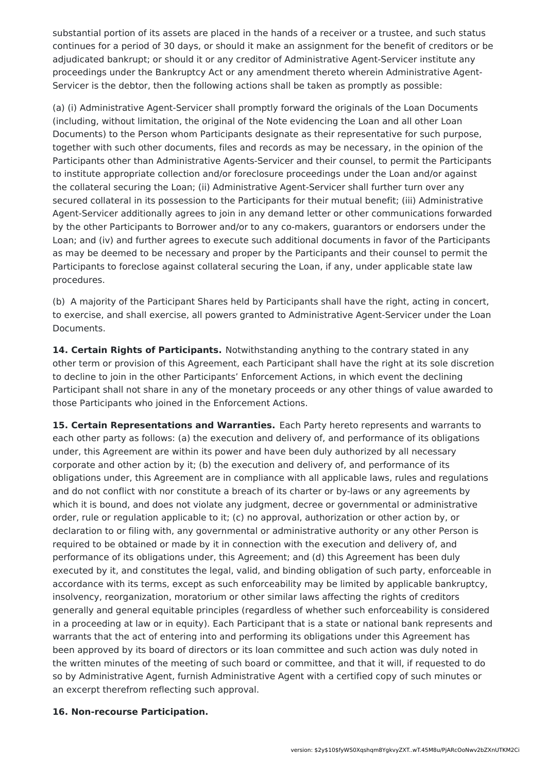substantial portion of its assets are placed in the hands of a receiver or a trustee, and such status continues for a period of 30 days, or should it make an assignment for the benefit of creditors or be adjudicated bankrupt; or should it or any creditor of Administrative Agent-Servicer institute any proceedings under the Bankruptcy Act or any amendment thereto wherein Administrative Agent-Servicer is the debtor, then the following actions shall be taken as promptly as possible:

(a) (i) Administrative Agent-Servicer shall promptly forward the originals of the Loan Documents (including, without limitation, the original of the Note evidencing the Loan and all other Loan Documents) to the Person whom Participants designate as their representative for such purpose, together with such other documents, files and records as may be necessary, in the opinion of the Participants other than Administrative Agents-Servicer and their counsel, to permit the Participants to institute appropriate collection and/or foreclosure proceedings under the Loan and/or against the collateral securing the Loan; (ii) Administrative Agent-Servicer shall further turn over any secured collateral in its possession to the Participants for their mutual benefit; (iii) Administrative Agent-Servicer additionally agrees to join in any demand letter or other communications forwarded by the other Participants to Borrower and/or to any co-makers, guarantors or endorsers under the Loan; and (iv) and further agrees to execute such additional documents in favor of the Participants as may be deemed to be necessary and proper by the Participants and their counsel to permit the Participants to foreclose against collateral securing the Loan, if any, under applicable state law procedures.

(b) A majority of the Participant Shares held by Participants shall have the right, acting in concert, to exercise, and shall exercise, all powers granted to Administrative Agent-Servicer under the Loan Documents.

**14. Certain Rights of Participants.** Notwithstanding anything to the contrary stated in any other term or provision of this Agreement, each Participant shall have the right at its sole discretion to decline to join in the other Participants' Enforcement Actions, in which event the declining Participant shall not share in any of the monetary proceeds or any other things of value awarded to those Participants who joined in the Enforcement Actions.

**15. Certain Representations and Warranties.** Each Party hereto represents and warrants to each other party as follows: (a) the execution and delivery of, and performance of its obligations under, this Agreement are within its power and have been duly authorized by all necessary corporate and other action by it; (b) the execution and delivery of, and performance of its obligations under, this Agreement are in compliance with all applicable laws, rules and regulations and do not conflict with nor constitute a breach of its charter or by-laws or any agreements by which it is bound, and does not violate any judgment, decree or governmental or administrative order, rule or regulation applicable to it; (c) no approval, authorization or other action by, or declaration to or filing with, any governmental or administrative authority or any other Person is required to be obtained or made by it in connection with the execution and delivery of, and performance of its obligations under, this Agreement; and (d) this Agreement has been duly executed by it, and constitutes the legal, valid, and binding obligation of such party, enforceable in accordance with its terms, except as such enforceability may be limited by applicable bankruptcy, insolvency, reorganization, moratorium or other similar laws affecting the rights of creditors generally and general equitable principles (regardless of whether such enforceability is considered in a proceeding at law or in equity). Each Participant that is a state or national bank represents and warrants that the act of entering into and performing its obligations under this Agreement has been approved by its board of directors or its loan committee and such action was duly noted in the written minutes of the meeting of such board or committee, and that it will, if requested to do so by Administrative Agent, furnish Administrative Agent with a certified copy of such minutes or an excerpt therefrom reflecting such approval.

#### **16. Non-recourse Participation.**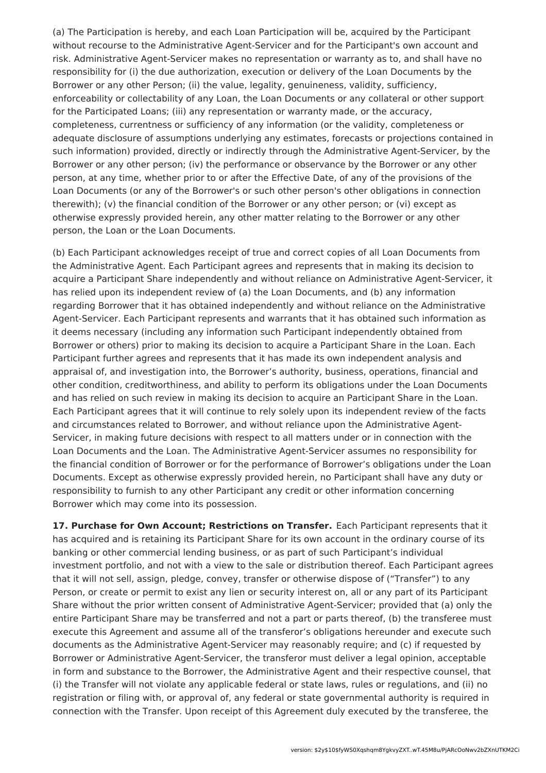(a) The Participation is hereby, and each Loan Participation will be, acquired by the Participant without recourse to the Administrative Agent-Servicer and for the Participant's own account and risk. Administrative Agent-Servicer makes no representation or warranty as to, and shall have no responsibility for (i) the due authorization, execution or delivery of the Loan Documents by the Borrower or any other Person; (ii) the value, legality, genuineness, validity, sufficiency, enforceability or collectability of any Loan, the Loan Documents or any collateral or other support for the Participated Loans; (iii) any representation or warranty made, or the accuracy, completeness, currentness or sufficiency of any information (or the validity, completeness or adequate disclosure of assumptions underlying any estimates, forecasts or projections contained in such information) provided, directly or indirectly through the Administrative Agent-Servicer, by the Borrower or any other person; (iv) the performance or observance by the Borrower or any other person, at any time, whether prior to or after the Effective Date, of any of the provisions of the Loan Documents (or any of the Borrower's or such other person's other obligations in connection therewith); (v) the financial condition of the Borrower or any other person; or (vi) except as otherwise expressly provided herein, any other matter relating to the Borrower or any other person, the Loan or the Loan Documents.

(b) Each Participant acknowledges receipt of true and correct copies of all Loan Documents from the Administrative Agent. Each Participant agrees and represents that in making its decision to acquire a Participant Share independently and without reliance on Administrative Agent-Servicer, it has relied upon its independent review of (a) the Loan Documents, and (b) any information regarding Borrower that it has obtained independently and without reliance on the Administrative Agent-Servicer. Each Participant represents and warrants that it has obtained such information as it deems necessary (including any information such Participant independently obtained from Borrower or others) prior to making its decision to acquire a Participant Share in the Loan. Each Participant further agrees and represents that it has made its own independent analysis and appraisal of, and investigation into, the Borrower's authority, business, operations, financial and other condition, creditworthiness, and ability to perform its obligations under the Loan Documents and has relied on such review in making its decision to acquire an Participant Share in the Loan. Each Participant agrees that it will continue to rely solely upon its independent review of the facts and circumstances related to Borrower, and without reliance upon the Administrative Agent-Servicer, in making future decisions with respect to all matters under or in connection with the Loan Documents and the Loan. The Administrative Agent-Servicer assumes no responsibility for the financial condition of Borrower or for the performance of Borrower's obligations under the Loan Documents. Except as otherwise expressly provided herein, no Participant shall have any duty or responsibility to furnish to any other Participant any credit or other information concerning Borrower which may come into its possession.

**17. Purchase for Own Account; Restrictions on Transfer.** Each Participant represents that it has acquired and is retaining its Participant Share for its own account in the ordinary course of its banking or other commercial lending business, or as part of such Participant's individual investment portfolio, and not with a view to the sale or distribution thereof. Each Participant agrees that it will not sell, assign, pledge, convey, transfer or otherwise dispose of ("Transfer") to any Person, or create or permit to exist any lien or security interest on, all or any part of its Participant Share without the prior written consent of Administrative Agent-Servicer; provided that (a) only the entire Participant Share may be transferred and not a part or parts thereof, (b) the transferee must execute this Agreement and assume all of the transferor's obligations hereunder and execute such documents as the Administrative Agent-Servicer may reasonably require; and (c) if requested by Borrower or Administrative Agent-Servicer, the transferor must deliver a legal opinion, acceptable in form and substance to the Borrower, the Administrative Agent and their respective counsel, that (i) the Transfer will not violate any applicable federal or state laws, rules or regulations, and (ii) no registration or filing with, or approval of, any federal or state governmental authority is required in connection with the Transfer. Upon receipt of this Agreement duly executed by the transferee, the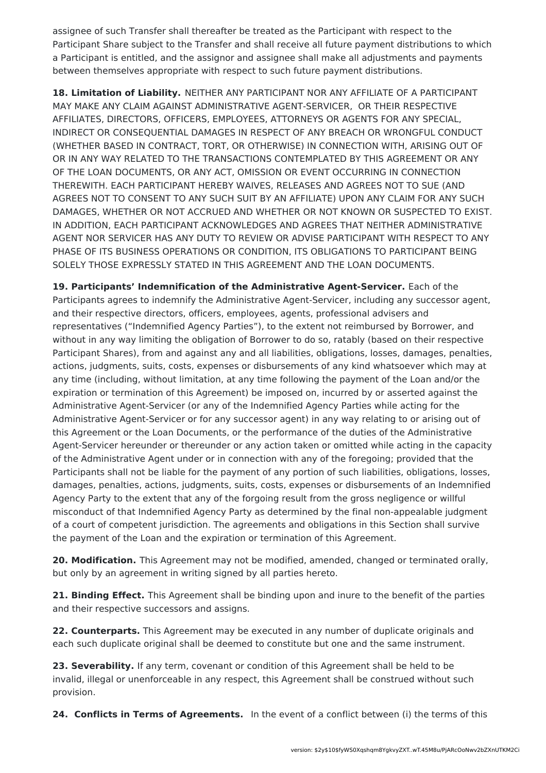assignee of such Transfer shall thereafter be treated as the Participant with respect to the Participant Share subject to the Transfer and shall receive all future payment distributions to which a Participant is entitled, and the assignor and assignee shall make all adjustments and payments between themselves appropriate with respect to such future payment distributions.

**18. Limitation of Liability.** NEITHER ANY PARTICIPANT NOR ANY AFFILIATE OF A PARTICIPANT MAY MAKE ANY CLAIM AGAINST ADMINISTRATIVE AGENT-SERVICER, OR THEIR RESPECTIVE AFFILIATES, DIRECTORS, OFFICERS, EMPLOYEES, ATTORNEYS OR AGENTS FOR ANY SPECIAL, INDIRECT OR CONSEQUENTIAL DAMAGES IN RESPECT OF ANY BREACH OR WRONGFUL CONDUCT (WHETHER BASED IN CONTRACT, TORT, OR OTHERWISE) IN CONNECTION WITH, ARISING OUT OF OR IN ANY WAY RELATED TO THE TRANSACTIONS CONTEMPLATED BY THIS AGREEMENT OR ANY OF THE LOAN DOCUMENTS, OR ANY ACT, OMISSION OR EVENT OCCURRING IN CONNECTION THEREWITH. EACH PARTICIPANT HEREBY WAIVES, RELEASES AND AGREES NOT TO SUE (AND AGREES NOT TO CONSENT TO ANY SUCH SUIT BY AN AFFILIATE) UPON ANY CLAIM FOR ANY SUCH DAMAGES, WHETHER OR NOT ACCRUED AND WHETHER OR NOT KNOWN OR SUSPECTED TO EXIST. IN ADDITION, EACH PARTICIPANT ACKNOWLEDGES AND AGREES THAT NEITHER ADMINISTRATIVE AGENT NOR SERVICER HAS ANY DUTY TO REVIEW OR ADVISE PARTICIPANT WITH RESPECT TO ANY PHASE OF ITS BUSINESS OPERATIONS OR CONDITION, ITS OBLIGATIONS TO PARTICIPANT BEING SOLELY THOSE EXPRESSLY STATED IN THIS AGREEMENT AND THE LOAN DOCUMENTS.

**19. Participants' Indemnification of the Administrative Agent-Servicer.** Each of the Participants agrees to indemnify the Administrative Agent-Servicer, including any successor agent, and their respective directors, officers, employees, agents, professional advisers and representatives ("Indemnified Agency Parties"), to the extent not reimbursed by Borrower, and without in any way limiting the obligation of Borrower to do so, ratably (based on their respective Participant Shares), from and against any and all liabilities, obligations, losses, damages, penalties, actions, judgments, suits, costs, expenses or disbursements of any kind whatsoever which may at any time (including, without limitation, at any time following the payment of the Loan and/or the expiration or termination of this Agreement) be imposed on, incurred by or asserted against the Administrative Agent-Servicer (or any of the Indemnified Agency Parties while acting for the Administrative Agent-Servicer or for any successor agent) in any way relating to or arising out of this Agreement or the Loan Documents, or the performance of the duties of the Administrative Agent-Servicer hereunder or thereunder or any action taken or omitted while acting in the capacity of the Administrative Agent under or in connection with any of the foregoing; provided that the Participants shall not be liable for the payment of any portion of such liabilities, obligations, losses, damages, penalties, actions, judgments, suits, costs, expenses or disbursements of an Indemnified Agency Party to the extent that any of the forgoing result from the gross negligence or willful misconduct of that Indemnified Agency Party as determined by the final non-appealable judgment of a court of competent jurisdiction. The agreements and obligations in this Section shall survive the payment of the Loan and the expiration or termination of this Agreement.

**20. Modification.** This Agreement may not be modified, amended, changed or terminated orally, but only by an agreement in writing signed by all parties hereto.

**21. Binding Effect.** This Agreement shall be binding upon and inure to the benefit of the parties and their respective successors and assigns.

**22. Counterparts.** This Agreement may be executed in any number of duplicate originals and each such duplicate original shall be deemed to constitute but one and the same instrument.

**23. Severability.** If any term, covenant or condition of this Agreement shall be held to be invalid, illegal or unenforceable in any respect, this Agreement shall be construed without such provision.

**24. Conflicts in Terms of Agreements.** In the event of a conflict between (i) the terms of this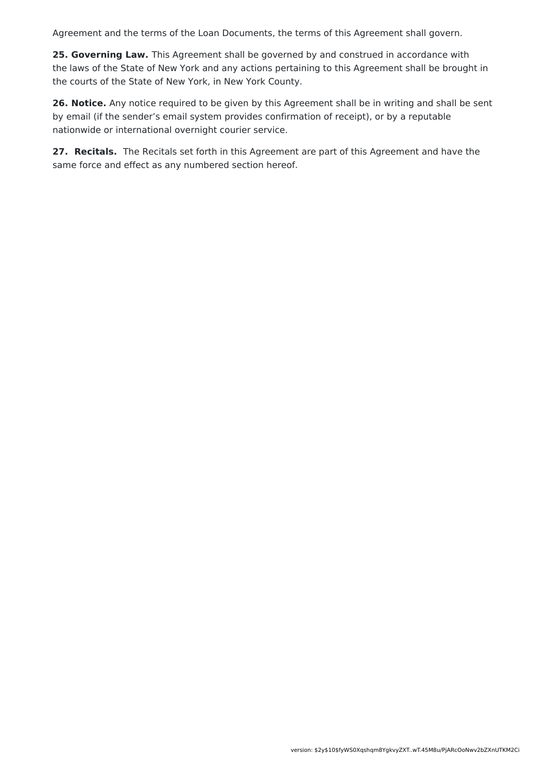Agreement and the terms of the Loan Documents, the terms of this Agreement shall govern.

**25. Governing Law.** This Agreement shall be governed by and construed in accordance with the laws of the State of New York and any actions pertaining to this Agreement shall be brought in the courts of the State of New York, in New York County.

**26. Notice.** Any notice required to be given by this Agreement shall be in writing and shall be sent by email (if the sender's email system provides confirmation of receipt), or by a reputable nationwide or international overnight courier service.

**27. Recitals.** The Recitals set forth in this Agreement are part of this Agreement and have the same force and effect as any numbered section hereof.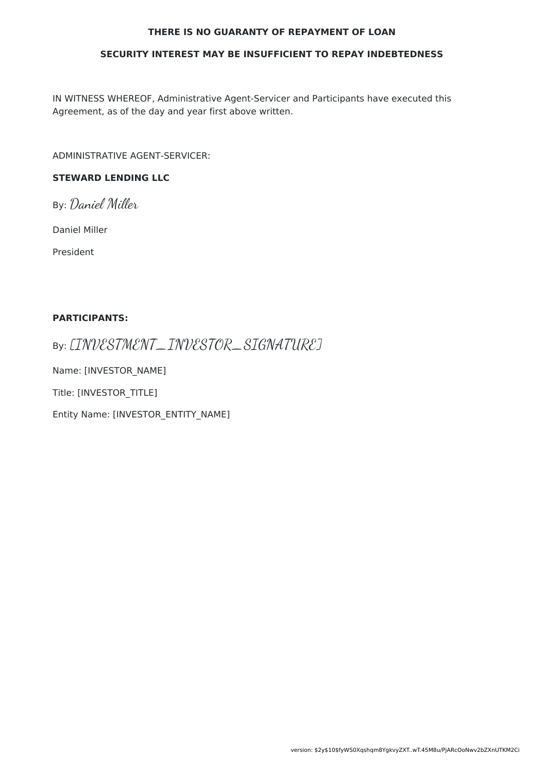#### **THERE IS NO GUARANTY OF REPAYMENT OF LOAN**

#### **SECURITY INTEREST MAY BE INSUFFICIENT TO REPAY INDEBTEDNESS**

IN WITNESS WHEREOF, Administrative Agent-Servicer and Participants have executed this Agreement, as of the day and year first above written.

ADMINISTRATIVE AGENT-SERVICER:

### **STEWARD LENDING LLC**

By: Daniel Miller

Daniel Miller

President

### **PARTICIPANTS:**

By: [INVESTMENT\_INVESTOR\_SIGNATURE]

Name: [INVESTOR\_NAME]

Title: [INVESTOR\_TITLE]

Entity Name: [INVESTOR\_ENTITY\_NAME]